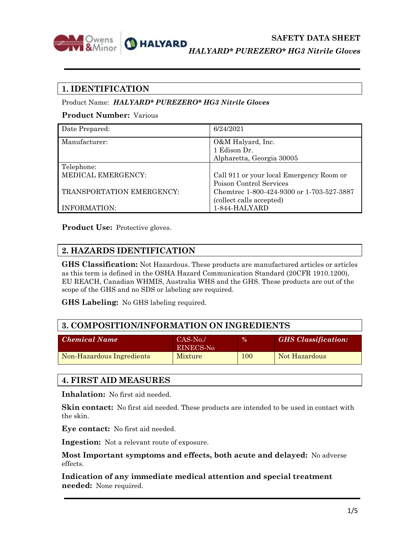

*HALYARD\* PUREZERO\* HG3 Nitrile Gloves*

## **1. IDENTIFICATION**

#### Product Name:*HALYARD\* PUREZERO\* HG3 Nitrile Gloves*

### **Product Number:** Various

| Date Prepared:            | 6/24/2021                                 |
|---------------------------|-------------------------------------------|
| Manufacturer:             | O&M Halyard, Inc.                         |
|                           | 1 Edison Dr.                              |
|                           | Alpharetta, Georgia 30005                 |
| Telephone:                |                                           |
| MEDICAL EMERGENCY:        | Call 911 or your local Emergency Room or  |
|                           | Poison Control Services                   |
| TRANSPORTATION EMERGENCY: | Chemtrec 1-800-424-9300 or 1-703-527-3887 |
|                           | (collect calls accepted)                  |
| INFORMATION:              | 1-844-HALYARD                             |

**Product Use:** Protective gloves.

## **2. HAZARDS IDENTIFICATION**

**GHS Classification:** Not Hazardous. These products are manufactured articles or articles as this term is defined in the OSHA Hazard Communication Standard (20CFR 1910.1200), EU REACH, Canadian WHMIS, Australia WHS and the GHS. These products are out of the scope of the GHS and no SDS or labeling are required.

**GHS Labeling:** No GHS labeling required.

## **3. COMPOSITION/INFORMATION ON INGREDIENTS**

| <b>Chemical Name</b>      | $CAS-No.$<br>EINECS-No | $\frac{9}{6}$ | <b>GHS</b> Classification: |
|---------------------------|------------------------|---------------|----------------------------|
| Non-Hazardous Ingredients | Mixture                | <b>100</b>    | Not Hazardous              |

## **4. FIRST AID MEASURES**

**Inhalation:** No first aid needed.

**Skin contact:** No first aid needed. These products are intended to be used in contact with the skin.

**Eye contact:** No first aid needed.

**Ingestion:** Not a relevant route of exposure.

**Most Important symptoms and effects, both acute and delayed:** No adverse effects.

**Indication of any immediate medical attention and special treatment needed:** None required.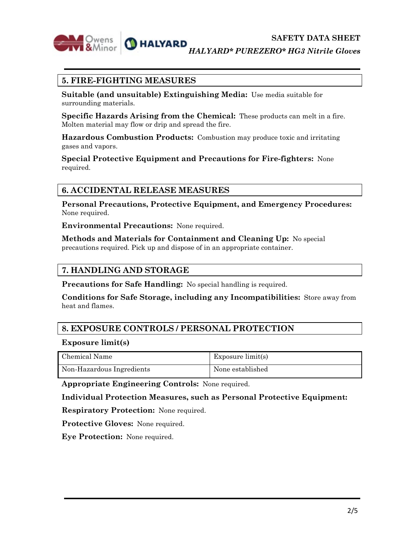

*HALYARD\* PUREZERO\* HG3 Nitrile Gloves*

## **5. FIRE-FIGHTING MEASURES**

**Suitable (and unsuitable) Extinguishing Media:** Use media suitable for surrounding materials.

**Specific Hazards Arising from the Chemical:** These products can melt in a fire. Molten material may flow or drip and spread the fire.

**Hazardous Combustion Products:** Combustion may produce toxic and irritating gases and vapors.

**Special Protective Equipment and Precautions for Fire-fighters:** None required.

## **6. ACCIDENTAL RELEASE MEASURES**

**Personal Precautions, Protective Equipment, and Emergency Procedures:** None required.

**Environmental Precautions:** None required.

**Methods and Materials for Containment and Cleaning Up:** No special precautions required. Pick up and dispose of in an appropriate container.

## **7. HANDLING AND STORAGE**

**Precautions for Safe Handling:** No special handling is required.

**Conditions for Safe Storage, including any Incompatibilities:** Store away from heat and flames.

## **8. EXPOSURE CONTROLS / PERSONAL PROTECTION**

#### **Exposure limit(s)**

| Chemical Name             | Exposure limit(s) |
|---------------------------|-------------------|
| Non-Hazardous Ingredients | None established  |

**Appropriate Engineering Controls:** None required.

#### **Individual Protection Measures, such as Personal Protective Equipment:**

**Respiratory Protection:** None required.

**Protective Gloves:** None required.

**Eye Protection:** None required.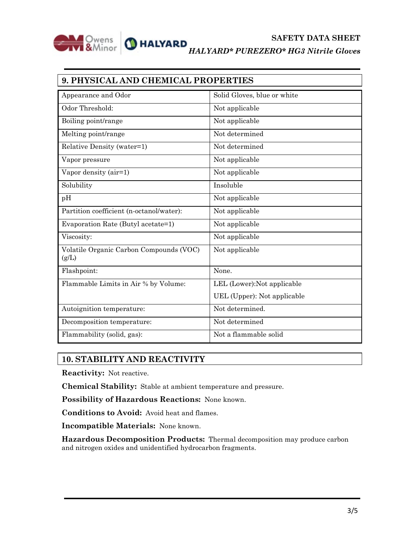

| 9. PHYSICAL AND CHEMICAL PROPERTIES              |                             |  |
|--------------------------------------------------|-----------------------------|--|
| Appearance and Odor                              | Solid Gloves, blue or white |  |
| Odor Threshold:                                  | Not applicable              |  |
| Boiling point/range                              | Not applicable              |  |
| Melting point/range                              | Not determined              |  |
| Relative Density (water=1)                       | Not determined              |  |
| Vapor pressure                                   | Not applicable              |  |
| Vapor density (air=1)                            | Not applicable              |  |
| Solubility                                       | Insoluble                   |  |
| pH                                               | Not applicable              |  |
| Partition coefficient (n-octanol/water):         | Not applicable              |  |
| Evaporation Rate (Butyl acetate=1)               | Not applicable              |  |
| Viscosity:                                       | Not applicable              |  |
| Volatile Organic Carbon Compounds (VOC)<br>(g/L) | Not applicable              |  |
| Flashpoint:                                      | None.                       |  |
| Flammable Limits in Air % by Volume:             | LEL (Lower): Not applicable |  |
|                                                  | UEL (Upper): Not applicable |  |
| Autoignition temperature:                        | Not determined.             |  |
| Decomposition temperature:                       | Not determined              |  |
| Flammability (solid, gas):                       | Not a flammable solid       |  |

## **10. STABILITY AND REACTIVITY**

**Reactivity:** Not reactive.

**Chemical Stability:** Stable at ambient temperature and pressure.

**Possibility of Hazardous Reactions:** None known.

**Conditions to Avoid:** Avoid heat and flames.

**Incompatible Materials:** None known.

**Hazardous Decomposition Products:** Thermal decomposition may produce carbon and nitrogen oxides and unidentified hydrocarbon fragments.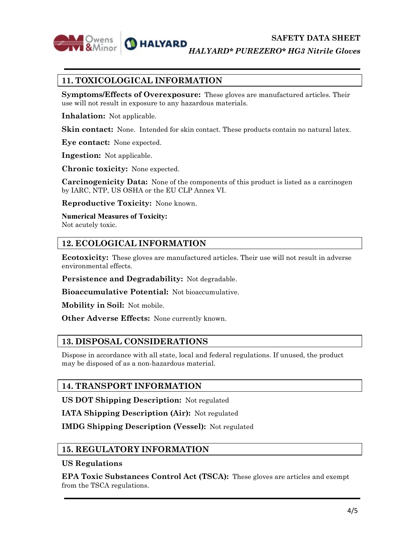

*HALYARD\* PUREZERO\* HG3 Nitrile Gloves*

# **11. TOXICOLOGICAL INFORMATION**

**Symptoms/Effects of Overexposure:** These gloves are manufactured articles. Their use will not result in exposure to any hazardous materials.

**Inhalation:** Not applicable.

**Skin contact:** None. Intended for skin contact. These products contain no natural latex.

**Eye contact:** None expected.

**Ingestion:** Not applicable.

**Chronic toxicity:** None expected.

**Carcinogenicity Data:** None of the components of this product is listed as a carcinogen by IARC, NTP, US OSHA or the EU CLP Annex VI.

**Reproductive Toxicity:** None known.

**Numerical Measures of Toxicity:** Not acutely toxic.

## **12. ECOLOGICAL INFORMATION**

**Ecotoxicity:** These gloves are manufactured articles. Their use will not result in adverse environmental effects.

**Persistence and Degradability:** Not degradable.

**Bioaccumulative Potential:** Not bioaccumulative.

**Mobility in Soil:** Not mobile.

**Other Adverse Effects:** None currently known.

## **13. DISPOSAL CONSIDERATIONS**

Dispose in accordance with all state, local and federal regulations. If unused, the product may be disposed of as a non-hazardous material.

## **14. TRANSPORT INFORMATION**

**US DOT Shipping Description:** Not regulated

**IATA Shipping Description (Air):** Not regulated

**IMDG Shipping Description (Vessel):** Not regulated

### **15. REGULATORY INFORMATION**

#### **US Regulations**

**EPA Toxic Substances Control Act (TSCA):** These gloves are articles and exempt from the TSCA regulations.